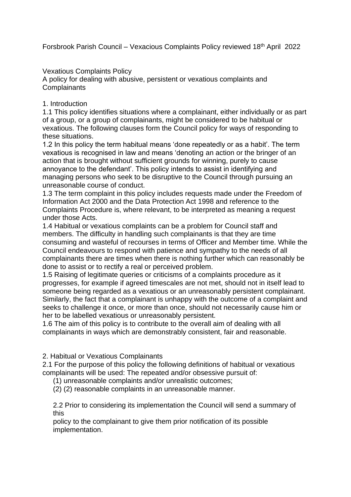Forsbrook Parish Council – Vexacious Complaints Policy reviewed 18th April 2022

Vexatious Complaints Policy

A policy for dealing with abusive, persistent or vexatious complaints and **Complainants** 

1. Introduction

1.1 This policy identifies situations where a complainant, either individually or as part of a group, or a group of complainants, might be considered to be habitual or vexatious. The following clauses form the Council policy for ways of responding to these situations.

1.2 In this policy the term habitual means 'done repeatedly or as a habit'. The term vexatious is recognised in law and means 'denoting an action or the bringer of an action that is brought without sufficient grounds for winning, purely to cause annoyance to the defendant'. This policy intends to assist in identifying and managing persons who seek to be disruptive to the Council through pursuing an unreasonable course of conduct.

1.3 The term complaint in this policy includes requests made under the Freedom of Information Act 2000 and the Data Protection Act 1998 and reference to the Complaints Procedure is, where relevant, to be interpreted as meaning a request under those Acts.

1.4 Habitual or vexatious complaints can be a problem for Council staff and members. The difficulty in handling such complainants is that they are time consuming and wasteful of recourses in terms of Officer and Member time. While the Council endeavours to respond with patience and sympathy to the needs of all complainants there are times when there is nothing further which can reasonably be done to assist or to rectify a real or perceived problem.

1.5 Raising of legitimate queries or criticisms of a complaints procedure as it progresses, for example if agreed timescales are not met, should not in itself lead to someone being regarded as a vexatious or an unreasonably persistent complainant. Similarly, the fact that a complainant is unhappy with the outcome of a complaint and seeks to challenge it once, or more than once, should not necessarily cause him or her to be labelled vexatious or unreasonably persistent.

1.6 The aim of this policy is to contribute to the overall aim of dealing with all complainants in ways which are demonstrably consistent, fair and reasonable.

2. Habitual or Vexatious Complainants

2.1 For the purpose of this policy the following definitions of habitual or vexatious complainants will be used: The repeated and/or obsessive pursuit of:

(1) unreasonable complaints and/or unrealistic outcomes;

(2) (2) reasonable complaints in an unreasonable manner.

2.2 Prior to considering its implementation the Council will send a summary of this

policy to the complainant to give them prior notification of its possible implementation.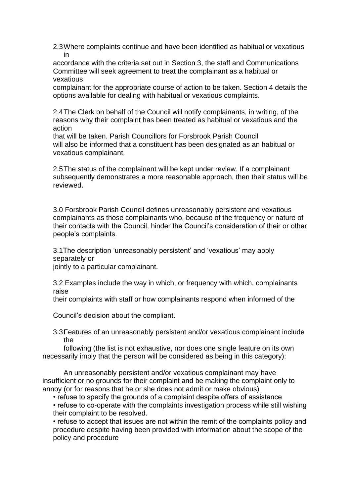2.3Where complaints continue and have been identified as habitual or vexatious in

accordance with the criteria set out in Section 3, the staff and Communications Committee will seek agreement to treat the complainant as a habitual or vexatious

complainant for the appropriate course of action to be taken. Section 4 details the options available for dealing with habitual or vexatious complaints.

2.4The Clerk on behalf of the Council will notify complainants, in writing, of the reasons why their complaint has been treated as habitual or vexatious and the action

that will be taken. Parish Councillors for Forsbrook Parish Council will also be informed that a constituent has been designated as an habitual or vexatious complainant.

2.5The status of the complainant will be kept under review. If a complainant subsequently demonstrates a more reasonable approach, then their status will be reviewed.

3.0 Forsbrook Parish Council defines unreasonably persistent and vexatious complainants as those complainants who, because of the frequency or nature of their contacts with the Council, hinder the Council's consideration of their or other people's complaints.

3.1The description 'unreasonably persistent' and 'vexatious' may apply separately or

jointly to a particular complainant.

3.2 Examples include the way in which, or frequency with which, complainants raise

their complaints with staff or how complainants respond when informed of the

Council's decision about the compliant.

3.3Features of an unreasonably persistent and/or vexatious complainant include the

following (the list is not exhaustive, nor does one single feature on its own necessarily imply that the person will be considered as being in this category):

An unreasonably persistent and/or vexatious complainant may have insufficient or no grounds for their complaint and be making the complaint only to annoy (or for reasons that he or she does not admit or make obvious)

• refuse to specify the grounds of a complaint despite offers of assistance

• refuse to co-operate with the complaints investigation process while still wishing their complaint to be resolved.

• refuse to accept that issues are not within the remit of the complaints policy and procedure despite having been provided with information about the scope of the policy and procedure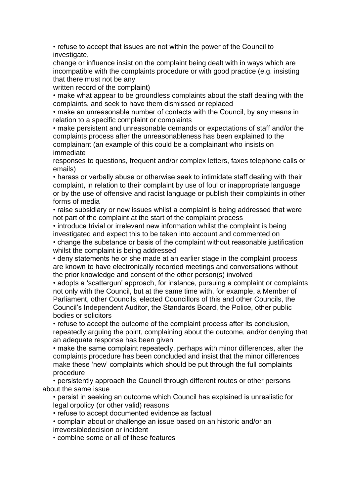• refuse to accept that issues are not within the power of the Council to investigate,

change or influence insist on the complaint being dealt with in ways which are incompatible with the complaints procedure or with good practice (e.g. insisting that there must not be any

written record of the complaint)

• make what appear to be groundless complaints about the staff dealing with the complaints, and seek to have them dismissed or replaced

• make an unreasonable number of contacts with the Council, by any means in relation to a specific complaint or complaints

• make persistent and unreasonable demands or expectations of staff and/or the complaints process after the unreasonableness has been explained to the complainant (an example of this could be a complainant who insists on immediate

responses to questions, frequent and/or complex letters, faxes telephone calls or emails)

• harass or verbally abuse or otherwise seek to intimidate staff dealing with their complaint, in relation to their complaint by use of foul or inappropriate language or by the use of offensive and racist language or publish their complaints in other forms of media

• raise subsidiary or new issues whilst a complaint is being addressed that were not part of the complaint at the start of the complaint process

• introduce trivial or irrelevant new information whilst the complaint is being investigated and expect this to be taken into account and commented on

• change the substance or basis of the complaint without reasonable justification whilst the complaint is being addressed

• deny statements he or she made at an earlier stage in the complaint process are known to have electronically recorded meetings and conversations without the prior knowledge and consent of the other person(s) involved

• adopts a 'scattergun' approach, for instance, pursuing a complaint or complaints not only with the Council, but at the same time with, for example, a Member of Parliament, other Councils, elected Councillors of this and other Councils, the Council's Independent Auditor, the Standards Board, the Police, other public bodies or solicitors

• refuse to accept the outcome of the complaint process after its conclusion, repeatedly arguing the point, complaining about the outcome, and/or denying that an adequate response has been given

• make the same complaint repeatedly, perhaps with minor differences, after the complaints procedure has been concluded and insist that the minor differences make these 'new' complaints which should be put through the full complaints procedure

• persistently approach the Council through different routes or other persons about the same issue

• persist in seeking an outcome which Council has explained is unrealistic for legal orpolicy (or other valid) reasons

• refuse to accept documented evidence as factual

• complain about or challenge an issue based on an historic and/or an irreversibledecision or incident

• combine some or all of these features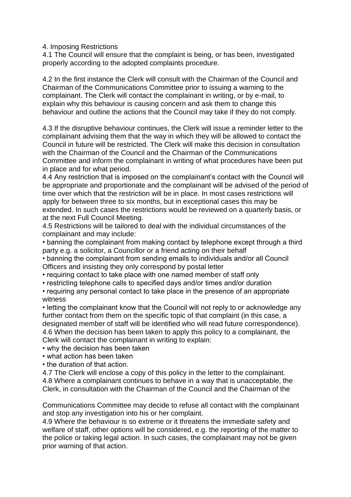4. Imposing Restrictions

4.1 The Council will ensure that the complaint is being, or has been, investigated properly according to the adopted complaints procedure.

4.2 In the first instance the Clerk will consult with the Chairman of the Council and Chairman of the Communications Committee prior to issuing a warning to the complainant. The Clerk will contact the complainant in writing, or by e-mail, to explain why this behaviour is causing concern and ask them to change this behaviour and outline the actions that the Council may take if they do not comply.

4.3 If the disruptive behaviour continues, the Clerk will issue a reminder letter to the complainant advising them that the way in which they will be allowed to contact the Council in future will be restricted. The Clerk will make this decision in consultation with the Chairman of the Council and the Chairman of the Communications Committee and inform the complainant in writing of what procedures have been put in place and for what period.

4.4 Any restriction that is imposed on the complainant's contact with the Council will be appropriate and proportionate and the complainant will be advised of the period of time over which that the restriction will be in place. In most cases restrictions will apply for between three to six months, but in exceptional cases this may be extended. In such cases the restrictions would be reviewed on a quarterly basis, or at the next Full Council Meeting.

4.5 Restrictions will be tailored to deal with the individual circumstances of the complainant and may include:

• banning the complainant from making contact by telephone except through a third party e.g. a solicitor, a Councillor or a friend acting on their behalf

• banning the complainant from sending emails to individuals and/or all Council Officers and insisting they only correspond by postal letter

• requiring contact to take place with one named member of staff only

• restricting telephone calls to specified days and/or times and/or duration

• requiring any personal contact to take place in the presence of an appropriate witness

• letting the complainant know that the Council will not reply to or acknowledge any further contact from them on the specific topic of that complaint (in this case, a designated member of staff will be identified who will read future correspondence). 4.6 When the decision has been taken to apply this policy to a complainant, the Clerk will contact the complainant in writing to explain:

• why the decision has been taken

• what action has been taken

• the duration of that action.

4.7 The Clerk will enclose a copy of this policy in the letter to the complainant. 4.8 Where a complainant continues to behave in a way that is unacceptable, the Clerk, in consultation with the Chairman of the Council and the Chairman of the

Communications Committee may decide to refuse all contact with the complainant and stop any investigation into his or her complaint.

4.9 Where the behaviour is so extreme or it threatens the immediate safety and welfare of staff, other options will be considered, e.g. the reporting of the matter to the police or taking legal action. In such cases, the complainant may not be given prior warning of that action.